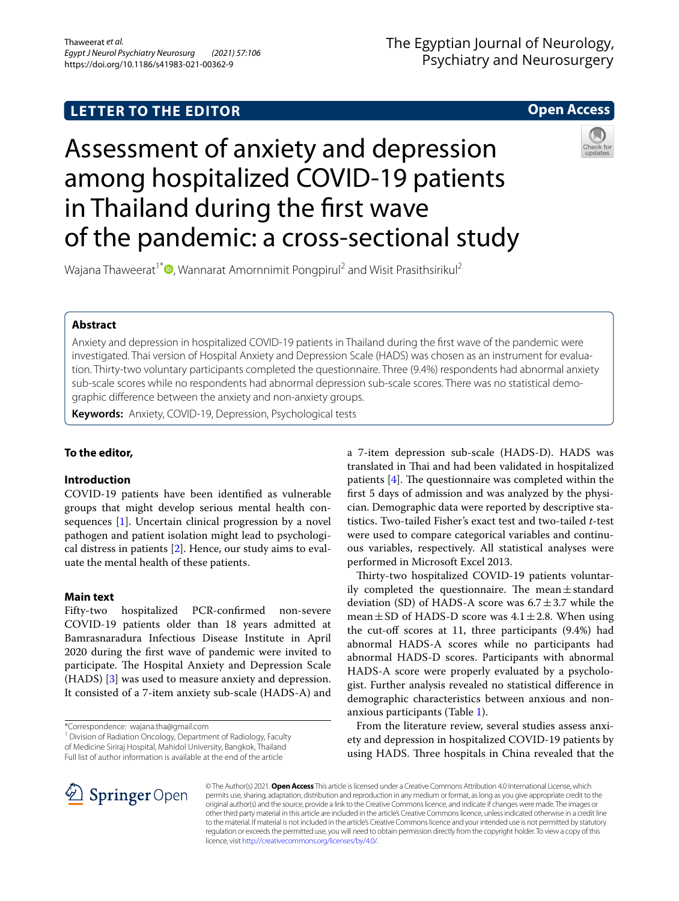## **LETTER TO THE EDITOR**

## **Open Access**

# Assessment of anxiety and depression among hospitalized COVID-19 patients in Thailand during the frst wave of the pandemic: a cross-sectional study



Wajana Thaweerat<sup>1\*</sup><sup>®</sup>[,](http://orcid.org/0000-0002-8115-9077) Wannarat Amornnimit Pongpirul<sup>2</sup> and Wisit Prasithsirikul<sup>2</sup>

## **Abstract**

Anxiety and depression in hospitalized COVID-19 patients in Thailand during the frst wave of the pandemic were investigated. Thai version of Hospital Anxiety and Depression Scale (HADS) was chosen as an instrument for evaluation. Thirty-two voluntary participants completed the questionnaire. Three (9.4%) respondents had abnormal anxiety sub-scale scores while no respondents had abnormal depression sub-scale scores. There was no statistical demographic diference between the anxiety and non-anxiety groups.

**Keywords:** Anxiety, COVID-19, Depression, Psychological tests

## **To the editor,**

## **Introduction**

COVID-19 patients have been identifed as vulnerable groups that might develop serious mental health consequences [[1\]](#page-2-0). Uncertain clinical progression by a novel pathogen and patient isolation might lead to psychological distress in patients [[2\]](#page-2-1). Hence, our study aims to evaluate the mental health of these patients.

## **Main text**

Fifty-two hospitalized PCR-confrmed non-severe COVID-19 patients older than 18 years admitted at Bamrasnaradura Infectious Disease Institute in April 2020 during the frst wave of pandemic were invited to participate. The Hospital Anxiety and Depression Scale (HADS) [[3\]](#page-2-2) was used to measure anxiety and depression. It consisted of a 7-item anxiety sub-scale (HADS-A) and

<sup>1</sup> Division of Radiation Oncology, Department of Radiology, Faculty of Medicine Siriraj Hospital, Mahidol University, Bangkok, Thailand Full list of author information is available at the end of the article

a 7-item depression sub-scale (HADS-D). HADS was translated in Thai and had been validated in hospitalized patients  $[4]$  $[4]$ . The questionnaire was completed within the frst 5 days of admission and was analyzed by the physician. Demographic data were reported by descriptive statistics. Two-tailed Fisher's exact test and two-tailed *t*-test were used to compare categorical variables and continuous variables, respectively. All statistical analyses were performed in Microsoft Excel 2013.

Thirty-two hospitalized COVID-19 patients voluntarily completed the questionnaire. The mean $\pm$ standard deviation (SD) of HADS-A score was  $6.7 \pm 3.7$  while the mean  $\pm$  SD of HADS-D score was 4.1 $\pm$ 2.8. When using the cut-off scores at 11, three participants  $(9.4%)$  had abnormal HADS-A scores while no participants had abnormal HADS-D scores. Participants with abnormal HADS-A score were properly evaluated by a psychologist. Further analysis revealed no statistical diference in demographic characteristics between anxious and nonanxious participants (Table [1\)](#page-1-0).

From the literature review, several studies assess anxiety and depression in hospitalized COVID-19 patients by using HADS. Three hospitals in China revealed that the



© The Author(s) 2021. **Open Access** This article is licensed under a Creative Commons Attribution 4.0 International License, which permits use, sharing, adaptation, distribution and reproduction in any medium or format, as long as you give appropriate credit to the original author(s) and the source, provide a link to the Creative Commons licence, and indicate if changes were made. The images or other third party material in this article are included in the article's Creative Commons licence, unless indicated otherwise in a credit line to the material. If material is not included in the article's Creative Commons licence and your intended use is not permitted by statutory regulation or exceeds the permitted use, you will need to obtain permission directly from the copyright holder. To view a copy of this licence, visit [http://creativecommons.org/licenses/by/4.0/.](http://creativecommons.org/licenses/by/4.0/)

<sup>\*</sup>Correspondence: wajana.tha@gmail.com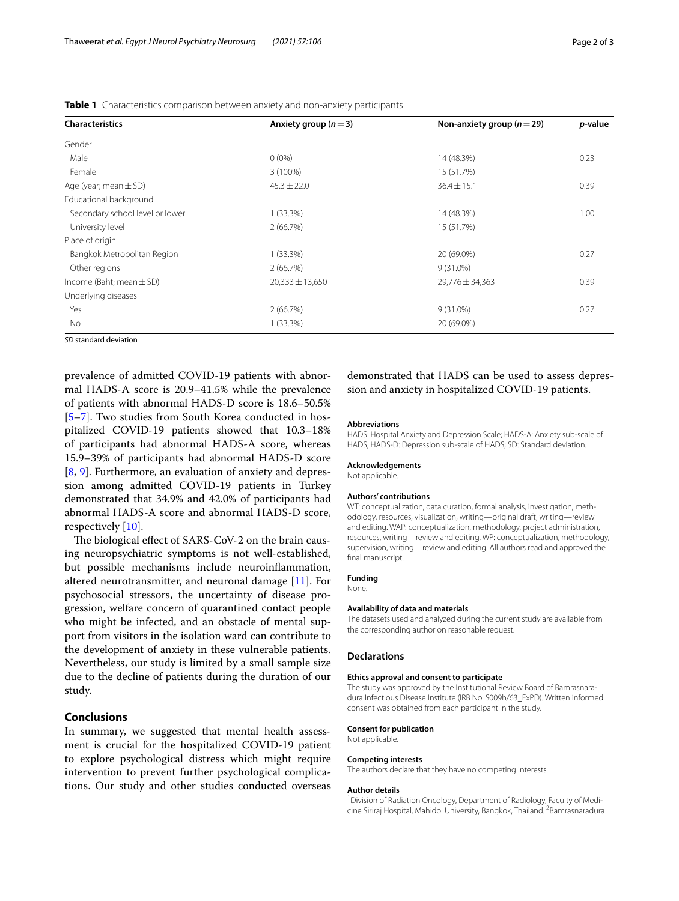| <b>Characteristics</b>          | Anxiety group ( $n=3$ ) | Non-anxiety group ( $n = 29$ ) | <i>p</i> -value |
|---------------------------------|-------------------------|--------------------------------|-----------------|
| Gender                          |                         |                                |                 |
| Male                            | $0(0\%)$                | 14 (48.3%)                     | 0.23            |
| Female                          | 3 (100%)                | 15 (51.7%)                     |                 |
| Age (year; mean $\pm$ SD)       | $45.3 \pm 22.0$         | $36.4 \pm 15.1$                | 0.39            |
| Educational background          |                         |                                |                 |
| Secondary school level or lower | $1(33.3\%)$             | 14 (48.3%)                     | 1.00            |
| University level                | 2(66.7%)                | 15 (51.7%)                     |                 |
| Place of origin                 |                         |                                |                 |
| Bangkok Metropolitan Region     | $1(33.3\%)$             | 20 (69.0%)                     | 0.27            |
| Other regions                   | 2(66.7%)                | $9(31.0\%)$                    |                 |
| Income (Baht; mean $\pm$ SD)    | $20,333 \pm 13,650$     | $29,776 \pm 34,363$            | 0.39            |
| Underlying diseases             |                         |                                |                 |
| Yes                             | 2(66.7%)                | $9(31.0\%)$                    | 0.27            |
| No                              | $1(33.3\%)$             | 20 (69.0%)                     |                 |

<span id="page-1-0"></span>**Table 1** Characteristics comparison between anxiety and non-anxiety participants

*SD* standard deviation

prevalence of admitted COVID-19 patients with abnormal HADS-A score is 20.9–41.5% while the prevalence of patients with abnormal HADS-D score is 18.6–50.5% [[5–](#page-2-4)[7\]](#page-2-5). Two studies from South Korea conducted in hospitalized COVID-19 patients showed that 10.3–18% of participants had abnormal HADS-A score, whereas 15.9–39% of participants had abnormal HADS-D score [[8,](#page-2-6) [9\]](#page-2-7). Furthermore, an evaluation of anxiety and depression among admitted COVID-19 patients in Turkey demonstrated that 34.9% and 42.0% of participants had abnormal HADS-A score and abnormal HADS-D score, respectively [[10](#page-2-8)].

The biological effect of SARS-CoV-2 on the brain causing neuropsychiatric symptoms is not well-established, but possible mechanisms include neuroinfammation, altered neurotransmitter, and neuronal damage [\[11](#page-2-9)]. For psychosocial stressors, the uncertainty of disease progression, welfare concern of quarantined contact people who might be infected, and an obstacle of mental support from visitors in the isolation ward can contribute to the development of anxiety in these vulnerable patients. Nevertheless, our study is limited by a small sample size due to the decline of patients during the duration of our study.

### **Conclusions**

In summary, we suggested that mental health assessment is crucial for the hospitalized COVID-19 patient to explore psychological distress which might require intervention to prevent further psychological complications. Our study and other studies conducted overseas demonstrated that HADS can be used to assess depression and anxiety in hospitalized COVID-19 patients.

#### **Abbreviations**

HADS: Hospital Anxiety and Depression Scale; HADS-A: Anxiety sub-scale of HADS; HADS-D: Depression sub-scale of HADS; SD: Standard deviation.

#### **Acknowledgements**

Not applicable.

#### **Authors' contributions**

WT: conceptualization, data curation, formal analysis, investigation, methodology, resources, visualization, writing—original draft, writing—review and editing. WAP: conceptualization, methodology, project administration, resources, writing—review and editing. WP: conceptualization, methodology, supervision, writing—review and editing. All authors read and approved the final manuscript.

#### **Funding**

None.

#### **Availability of data and materials**

The datasets used and analyzed during the current study are available from the corresponding author on reasonable request.

#### **Declarations**

#### **Ethics approval and consent to participate**

The study was approved by the Institutional Review Board of Bamrasnaradura Infectious Disease Institute (IRB No. S009h/63\_ExPD). Written informed consent was obtained from each participant in the study.

#### **Consent for publication**

Not applicable.

#### **Competing interests**

The authors declare that they have no competing interests.

#### **Author details**

<sup>1</sup> Division of Radiation Oncology, Department of Radiology, Faculty of Medicine Siriraj Hospital, Mahidol University, Bangkok, Thailand. <sup>2</sup> Bamrasnaradura